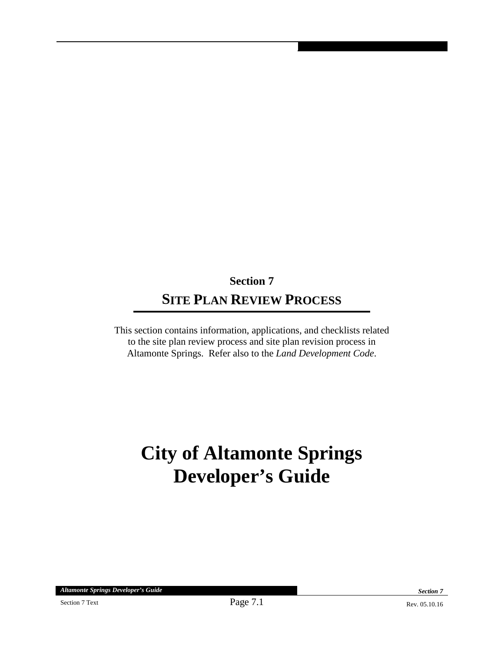## **Section 7 SITE PLAN REVIEW PROCESS**

This section contains information, applications, and checklists related to the site plan review process and site plan revision process in Altamonte Springs. Refer also to the *Land Development Code*.

# **City of Altamonte Springs Developer's Guide**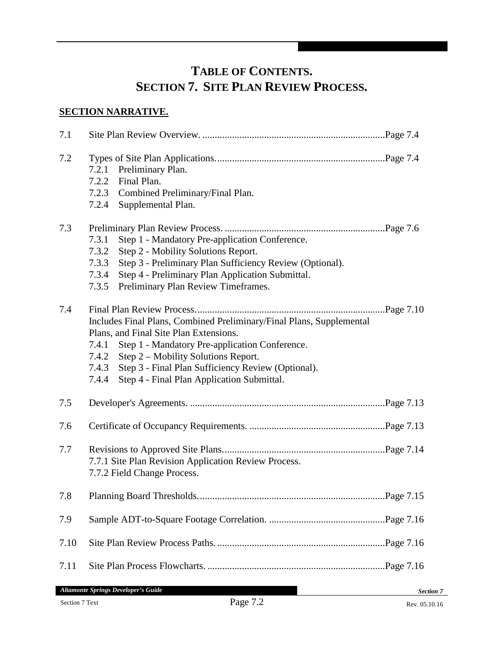### **TABLE OF CONTENTS. SECTION 7. SITE PLAN REVIEW PROCESS.**

### **SECTION NARRATIVE.**

| 7.1  |                                                                                                                                                                                                                                                                                                                                                           |  |  |
|------|-----------------------------------------------------------------------------------------------------------------------------------------------------------------------------------------------------------------------------------------------------------------------------------------------------------------------------------------------------------|--|--|
| 7.2  | 7.2.1<br>Preliminary Plan.<br>Final Plan.<br>7.2.2<br>7.2.3 Combined Preliminary/Final Plan.<br>7.2.4 Supplemental Plan.                                                                                                                                                                                                                                  |  |  |
| 7.3  | 7.3.1<br>Step 1 - Mandatory Pre-application Conference.<br>7.3.2<br>Step 2 - Mobility Solutions Report.<br>Step 3 - Preliminary Plan Sufficiency Review (Optional).<br>7.3.3<br>7.3.4<br>Step 4 - Preliminary Plan Application Submittal.<br>7.3.5<br>Preliminary Plan Review Timeframes.                                                                 |  |  |
| 7.4  | Page 7.10<br>Includes Final Plans, Combined Preliminary/Final Plans, Supplemental<br>Plans, and Final Site Plan Extensions.<br>Step 1 - Mandatory Pre-application Conference.<br>7.4.1<br>7.4.2 Step 2 – Mobility Solutions Report.<br>Step 3 - Final Plan Sufficiency Review (Optional).<br>7.4.3<br>Step 4 - Final Plan Application Submittal.<br>7.4.4 |  |  |
| 7.5  |                                                                                                                                                                                                                                                                                                                                                           |  |  |
| 7.6  |                                                                                                                                                                                                                                                                                                                                                           |  |  |
| 7.7  | 7.7.1 Site Plan Revision Application Review Process.<br>7.7.2 Field Change Process.                                                                                                                                                                                                                                                                       |  |  |
| 7.8  |                                                                                                                                                                                                                                                                                                                                                           |  |  |
| 7.9  |                                                                                                                                                                                                                                                                                                                                                           |  |  |
| 7.10 |                                                                                                                                                                                                                                                                                                                                                           |  |  |
| 7.11 |                                                                                                                                                                                                                                                                                                                                                           |  |  |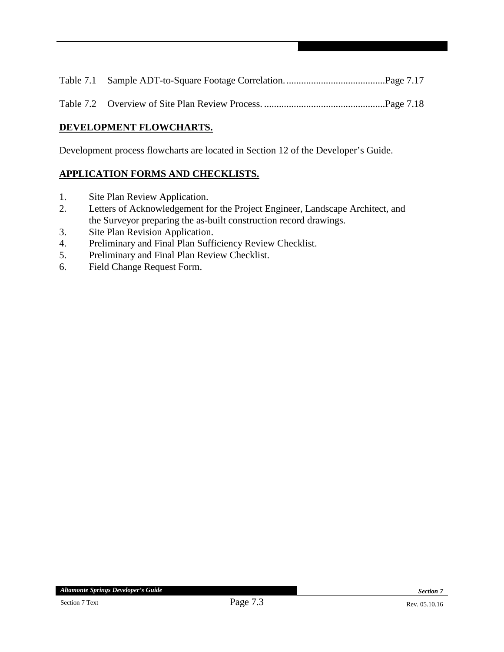#### **DEVELOPMENT FLOWCHARTS.**

Development process flowcharts are located in Section 12 of the Developer's Guide.

#### **APPLICATION FORMS AND CHECKLISTS.**

- 1. Site Plan Review Application.
- 2. Letters of Acknowledgement for the Project Engineer, Landscape Architect, and the Surveyor preparing the as-built construction record drawings.
- 3. Site Plan Revision Application.
- 4. Preliminary and Final Plan Sufficiency Review Checklist.
- 5. Preliminary and Final Plan Review Checklist.
- 6. Field Change Request Form.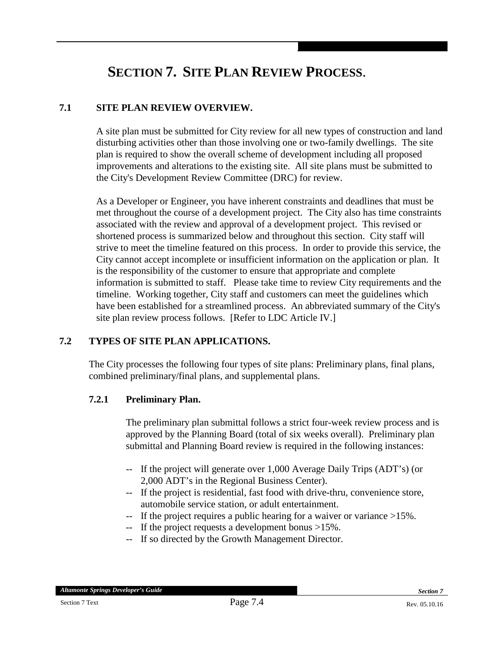## **SECTION 7. SITE PLAN REVIEW PROCESS**.

#### **7.1 SITE PLAN REVIEW OVERVIEW.**

A site plan must be submitted for City review for all new types of construction and land disturbing activities other than those involving one or two-family dwellings. The site plan is required to show the overall scheme of development including all proposed improvements and alterations to the existing site. All site plans must be submitted to the City's Development Review Committee (DRC) for review.

As a Developer or Engineer, you have inherent constraints and deadlines that must be met throughout the course of a development project. The City also has time constraints associated with the review and approval of a development project. This revised or shortened process is summarized below and throughout this section. City staff will strive to meet the timeline featured on this process. In order to provide this service, the City cannot accept incomplete or insufficient information on the application or plan. It is the responsibility of the customer to ensure that appropriate and complete information is submitted to staff. Please take time to review City requirements and the timeline. Working together, City staff and customers can meet the guidelines which have been established for a streamlined process. An abbreviated summary of the City's site plan review process follows. [Refer to LDC Article IV.]

#### **7.2 TYPES OF SITE PLAN APPLICATIONS.**

The City processes the following four types of site plans: Preliminary plans, final plans, combined preliminary/final plans, and supplemental plans.

#### **7.2.1 Preliminary Plan.**

The preliminary plan submittal follows a strict four-week review process and is approved by the Planning Board (total of six weeks overall). Preliminary plan submittal and Planning Board review is required in the following instances:

- If the project will generate over 1,000 Average Daily Trips (ADT's) (or 2,000 ADT's in the Regional Business Center).
- -- If the project is residential, fast food with drive-thru, convenience store, automobile service station, or adult entertainment.
- -- If the project requires a public hearing for a waiver or variance >15%.
- -- If the project requests a development bonus >15%.
- -- If so directed by the Growth Management Director.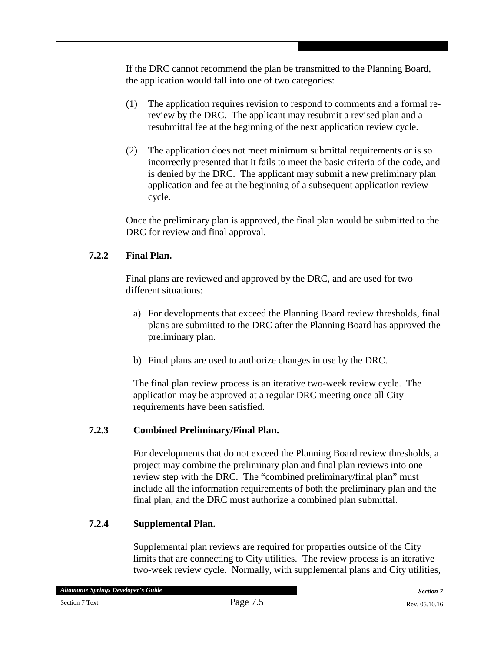If the DRC cannot recommend the plan be transmitted to the Planning Board, the application would fall into one of two categories:

- (1) The application requires revision to respond to comments and a formal rereview by the DRC. The applicant may resubmit a revised plan and a resubmittal fee at the beginning of the next application review cycle.
- (2) The application does not meet minimum submittal requirements or is so incorrectly presented that it fails to meet the basic criteria of the code, and is denied by the DRC. The applicant may submit a new preliminary plan application and fee at the beginning of a subsequent application review cycle.

Once the preliminary plan is approved, the final plan would be submitted to the DRC for review and final approval.

#### **7.2.2 Final Plan.**

Final plans are reviewed and approved by the DRC, and are used for two different situations:

- a) For developments that exceed the Planning Board review thresholds, final plans are submitted to the DRC after the Planning Board has approved the preliminary plan.
- b) Final plans are used to authorize changes in use by the DRC.

The final plan review process is an iterative two-week review cycle. The application may be approved at a regular DRC meeting once all City requirements have been satisfied.

### **7.2.3 Combined Preliminary/Final Plan.**

For developments that do not exceed the Planning Board review thresholds, a project may combine the preliminary plan and final plan reviews into one review step with the DRC. The "combined preliminary/final plan" must include all the information requirements of both the preliminary plan and the final plan, and the DRC must authorize a combined plan submittal.

#### **7.2.4 Supplemental Plan.**

Supplemental plan reviews are required for properties outside of the City limits that are connecting to City utilities. The review process is an iterative two-week review cycle. Normally, with supplemental plans and City utilities,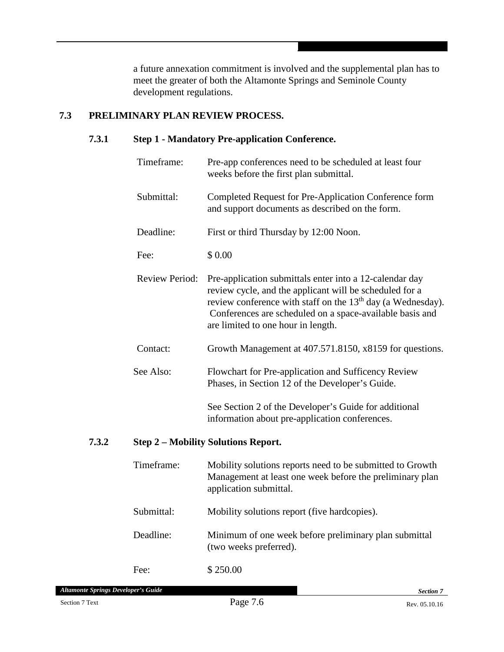a future annexation commitment is involved and the supplemental plan has to meet the greater of both the Altamonte Springs and Seminole County development regulations.

#### **7.3 PRELIMINARY PLAN REVIEW PROCESS.**

#### **7.3.1 Step 1 - Mandatory Pre-application Conference.**

|       | Timeframe:            | Pre-app conferences need to be scheduled at least four<br>weeks before the first plan submittal.                                                                                                                                                                                                |
|-------|-----------------------|-------------------------------------------------------------------------------------------------------------------------------------------------------------------------------------------------------------------------------------------------------------------------------------------------|
|       | Submittal:            | Completed Request for Pre-Application Conference form<br>and support documents as described on the form.                                                                                                                                                                                        |
|       | Deadline:             | First or third Thursday by 12:00 Noon.                                                                                                                                                                                                                                                          |
|       | Fee:                  | \$0.00                                                                                                                                                                                                                                                                                          |
|       | <b>Review Period:</b> | Pre-application submittals enter into a 12-calendar day<br>review cycle, and the applicant will be scheduled for a<br>review conference with staff on the 13 <sup>th</sup> day (a Wednesday).<br>Conferences are scheduled on a space-available basis and<br>are limited to one hour in length. |
|       | Contact:              | Growth Management at 407.571.8150, x8159 for questions.                                                                                                                                                                                                                                         |
|       | See Also:             | Flowchart for Pre-application and Sufficency Review<br>Phases, in Section 12 of the Developer's Guide.                                                                                                                                                                                          |
|       |                       | See Section 2 of the Developer's Guide for additional<br>information about pre-application conferences.                                                                                                                                                                                         |
| 7.3.2 |                       | <b>Step 2 - Mobility Solutions Report.</b>                                                                                                                                                                                                                                                      |
|       | Timeframe:            | Mobility solutions reports need to be submitted to Growth<br>Management at least one week before the preliminary plan<br>application submittal.                                                                                                                                                 |

Submittal: Mobility solutions report (five hardcopies).

Deadline: Minimum of one week before preliminary plan submittal (two weeks preferred).

Fee: \$250.00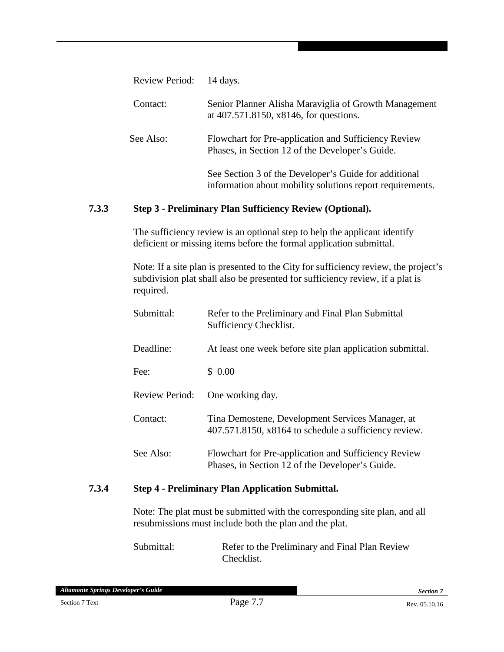| Review Period: | 14 days.                                                                                                           |
|----------------|--------------------------------------------------------------------------------------------------------------------|
| Contact:       | Senior Planner Alisha Maraviglia of Growth Management<br>at 407.571.8150, x8146, for questions.                    |
| See Also:      | Flowchart for Pre-application and Sufficiency Review<br>Phases, in Section 12 of the Developer's Guide.            |
|                | See Section 3 of the Developer's Guide for additional<br>information about mobility solutions report requirements. |

#### **Step 3 - Preliminary Plan Sufficiency Review (Optional). 7.3.3**

The sufficiency review is an optional step to help the applicant identify deficient or missing items before the formal application submittal.

Note: If a site plan is presented to the City for sufficiency review, the project's subdivision plat shall also be presented for sufficiency review, if a plat is required.

| Submittal:            | Refer to the Preliminary and Final Plan Submittal<br>Sufficiency Checklist.                               |
|-----------------------|-----------------------------------------------------------------------------------------------------------|
| Deadline:             | At least one week before site plan application submittal.                                                 |
| Fee:                  | \$0.00                                                                                                    |
| <b>Review Period:</b> | One working day.                                                                                          |
| Contact:              | Tina Demostene, Development Services Manager, at<br>407.571.8150, x8164 to schedule a sufficiency review. |
| See Also:             | Flowchart for Pre-application and Sufficiency Review<br>Phases, in Section 12 of the Developer's Guide.   |

#### **7.3.4 Step 4 - Preliminary Plan Application Submittal.**

Note: The plat must be submitted with the corresponding site plan, and all resubmissions must include both the plan and the plat.

Submittal: Refer to the Preliminary and Final Plan Review Checklist.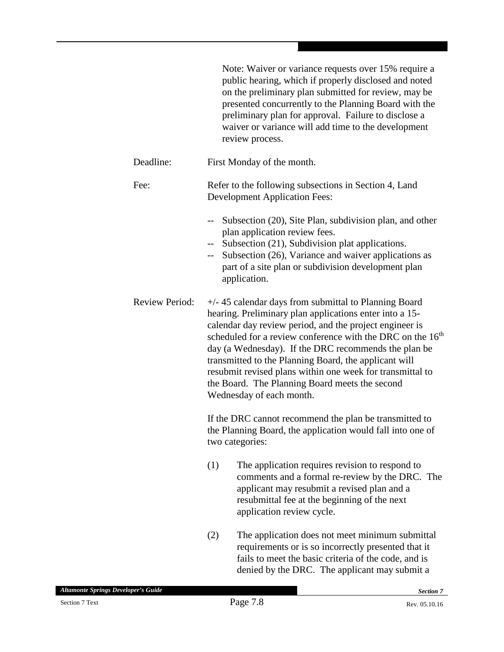|                       | Note: Waiver or variance requests over 15% require a<br>public hearing, which if properly disclosed and noted<br>on the preliminary plan submitted for review, may be<br>presented concurrently to the Planning Board with the<br>preliminary plan for approval. Failure to disclose a<br>waiver or variance will add time to the development<br>review process.                                                                                                                                                    |
|-----------------------|---------------------------------------------------------------------------------------------------------------------------------------------------------------------------------------------------------------------------------------------------------------------------------------------------------------------------------------------------------------------------------------------------------------------------------------------------------------------------------------------------------------------|
| Deadline:             | First Monday of the month.                                                                                                                                                                                                                                                                                                                                                                                                                                                                                          |
| Fee:                  | Refer to the following subsections in Section 4, Land<br><b>Development Application Fees:</b>                                                                                                                                                                                                                                                                                                                                                                                                                       |
|                       | Subsection (20), Site Plan, subdivision plan, and other<br>$-$<br>plan application review fees.<br>-- Subsection (21), Subdivision plat applications.<br>-- Subsection (26), Variance and waiver applications as<br>part of a site plan or subdivision development plan<br>application.                                                                                                                                                                                                                             |
| <b>Review Period:</b> | $+/-$ 45 calendar days from submittal to Planning Board<br>hearing. Preliminary plan applications enter into a 15-<br>calendar day review period, and the project engineer is<br>scheduled for a review conference with the DRC on the 16 <sup>th</sup><br>day (a Wednesday). If the DRC recommends the plan be<br>transmitted to the Planning Board, the applicant will<br>resubmit revised plans within one week for transmittal to<br>the Board. The Planning Board meets the second<br>Wednesday of each month. |
|                       | If the DRC cannot recommend the plan be transmitted to<br>the Planning Board, the application would fall into one of<br>two categories:                                                                                                                                                                                                                                                                                                                                                                             |
|                       | (1)<br>The application requires revision to respond to<br>comments and a formal re-review by the DRC. The<br>applicant may resubmit a revised plan and a<br>resubmittal fee at the beginning of the next<br>application review cycle.                                                                                                                                                                                                                                                                               |
|                       | (2)<br>The application does not meet minimum submittal<br>requirements or is so incorrectly presented that it<br>fails to meet the basic criteria of the code, and is<br>denied by the DRC. The applicant may submit a                                                                                                                                                                                                                                                                                              |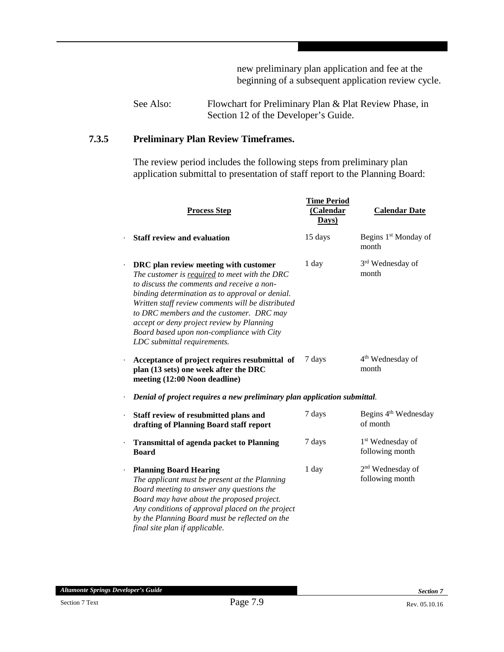new preliminary plan application and fee at the beginning of a subsequent application review cycle.

See Also: Flowchart for Preliminary Plan & Plat Review Phase, in Section 12 of the Developer's Guide.

#### **7.3.5 Preliminary Plan Review Timeframes.**

The review period includes the following steps from preliminary plan application submittal to presentation of staff report to the Planning Board:

|                      | <b>Process Step</b>                                                                                                                                                                                                                                                                                                                                                                                               | <b>Time Period</b><br>(Calendar<br>Days) | <b>Calendar Date</b>                            |
|----------------------|-------------------------------------------------------------------------------------------------------------------------------------------------------------------------------------------------------------------------------------------------------------------------------------------------------------------------------------------------------------------------------------------------------------------|------------------------------------------|-------------------------------------------------|
|                      | <b>Staff review and evaluation</b>                                                                                                                                                                                                                                                                                                                                                                                | 15 days                                  | Begins 1 <sup>st</sup> Monday of<br>month       |
| $\ddot{\phantom{0}}$ | DRC plan review meeting with customer<br>The customer is required to meet with the DRC<br>to discuss the comments and receive a non-<br>binding determination as to approval or denial.<br>Written staff review comments will be distributed<br>to DRC members and the customer. DRC may<br>accept or deny project review by Planning<br>Board based upon non-compliance with City<br>LDC submittal requirements. | 1 day                                    | 3 <sup>rd</sup> Wednesday of<br>month           |
| $\cdot$              | Acceptance of project requires resubmittal of<br>plan (13 sets) one week after the DRC<br>meeting (12:00 Noon deadline)                                                                                                                                                                                                                                                                                           | 7 days                                   | 4 <sup>th</sup> Wednesday of<br>month           |
|                      | Denial of project requires a new preliminary plan application submittal.                                                                                                                                                                                                                                                                                                                                          |                                          |                                                 |
| $\ddot{\phantom{0}}$ | Staff review of resubmitted plans and<br>drafting of Planning Board staff report                                                                                                                                                                                                                                                                                                                                  | 7 days                                   | Begins 4 <sup>th</sup> Wednesday<br>of month    |
|                      | <b>Transmittal of agenda packet to Planning</b><br><b>Board</b>                                                                                                                                                                                                                                                                                                                                                   | 7 days                                   | 1 <sup>st</sup> Wednesday of<br>following month |
| $\cdot$              | <b>Planning Board Hearing</b><br>The applicant must be present at the Planning<br>Board meeting to answer any questions the<br>Board may have about the proposed project.<br>Any conditions of approval placed on the project<br>by the Planning Board must be reflected on the<br>final site plan if applicable.                                                                                                 | 1 day                                    | 2 <sup>nd</sup> Wednesday of<br>following month |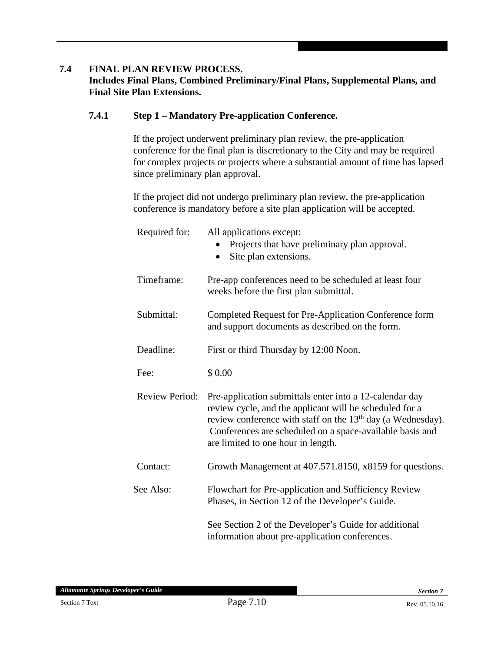#### **7.4 FINAL PLAN REVIEW PROCESS.**

#### **Includes Final Plans, Combined Preliminary/Final Plans, Supplemental Plans, and Final Site Plan Extensions.**

#### **7.4.1 Step 1 – Mandatory Pre-application Conference.**

If the project underwent preliminary plan review, the pre-application conference for the final plan is discretionary to the City and may be required for complex projects or projects where a substantial amount of time has lapsed since preliminary plan approval.

If the project did not undergo preliminary plan review, the pre-application conference is mandatory before a site plan application will be accepted.

| Required for:         | All applications except:<br>Projects that have preliminary plan approval.<br>Site plan extensions.<br>$\bullet$                                                                                                                                                                                 |
|-----------------------|-------------------------------------------------------------------------------------------------------------------------------------------------------------------------------------------------------------------------------------------------------------------------------------------------|
| Timeframe:            | Pre-app conferences need to be scheduled at least four<br>weeks before the first plan submittal.                                                                                                                                                                                                |
| Submittal:            | Completed Request for Pre-Application Conference form<br>and support documents as described on the form.                                                                                                                                                                                        |
| Deadline:             | First or third Thursday by 12:00 Noon.                                                                                                                                                                                                                                                          |
| Fee:                  | \$0.00                                                                                                                                                                                                                                                                                          |
| <b>Review Period:</b> | Pre-application submittals enter into a 12-calendar day<br>review cycle, and the applicant will be scheduled for a<br>review conference with staff on the 13 <sup>th</sup> day (a Wednesday).<br>Conferences are scheduled on a space-available basis and<br>are limited to one hour in length. |
| Contact:              | Growth Management at 407.571.8150, x8159 for questions.                                                                                                                                                                                                                                         |
| See Also:             | Flowchart for Pre-application and Sufficiency Review<br>Phases, in Section 12 of the Developer's Guide.                                                                                                                                                                                         |
|                       | See Section 2 of the Developer's Guide for additional<br>information about pre-application conferences.                                                                                                                                                                                         |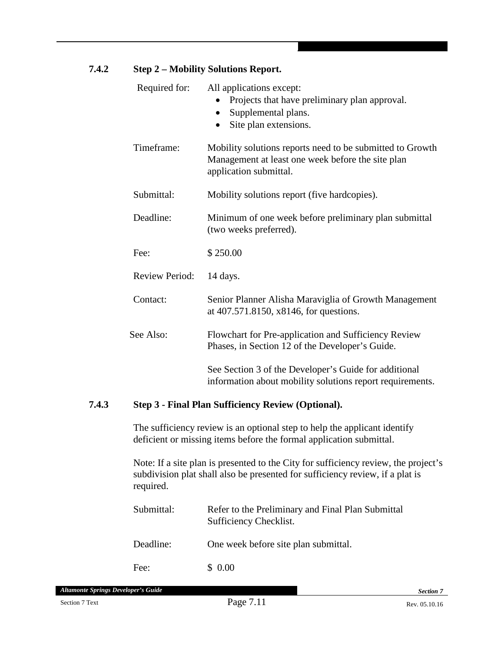| 7.4.2 | <b>Step 2 - Mobility Solutions Report.</b> |                                                                                                                                          |  |
|-------|--------------------------------------------|------------------------------------------------------------------------------------------------------------------------------------------|--|
|       | Required for:                              | All applications except:<br>Projects that have preliminary plan approval.<br>Supplemental plans.<br>$\bullet$<br>Site plan extensions.   |  |
|       | Timeframe:                                 | Mobility solutions reports need to be submitted to Growth<br>Management at least one week before the site plan<br>application submittal. |  |
|       | Submittal:                                 | Mobility solutions report (five hardcopies).                                                                                             |  |
|       | Deadline:                                  | Minimum of one week before preliminary plan submittal<br>(two weeks preferred).                                                          |  |
|       | Fee:                                       | \$250.00                                                                                                                                 |  |
|       | <b>Review Period:</b>                      | 14 days.                                                                                                                                 |  |
|       | Contact:                                   | Senior Planner Alisha Maraviglia of Growth Management<br>at 407.571.8150, x8146, for questions.                                          |  |
|       | See Also:                                  | Flowchart for Pre-application and Sufficiency Review<br>Phases, in Section 12 of the Developer's Guide.                                  |  |
|       |                                            | See Section 3 of the Developer's Guide for additional<br>information about mobility solutions report requirements.                       |  |

#### **7.4.3 Step 3 - Final Plan Sufficiency Review (Optional).**

The sufficiency review is an optional step to help the applicant identify deficient or missing items before the formal application submittal.

Note: If a site plan is presented to the City for sufficiency review, the project's subdivision plat shall also be presented for sufficiency review, if a plat is required.

| Submittal: | Refer to the Preliminary and Final Plan Submittal<br>Sufficiency Checklist. |
|------------|-----------------------------------------------------------------------------|
| Deadline:  | One week before site plan submittal.                                        |
| Fee:       | \$0.00                                                                      |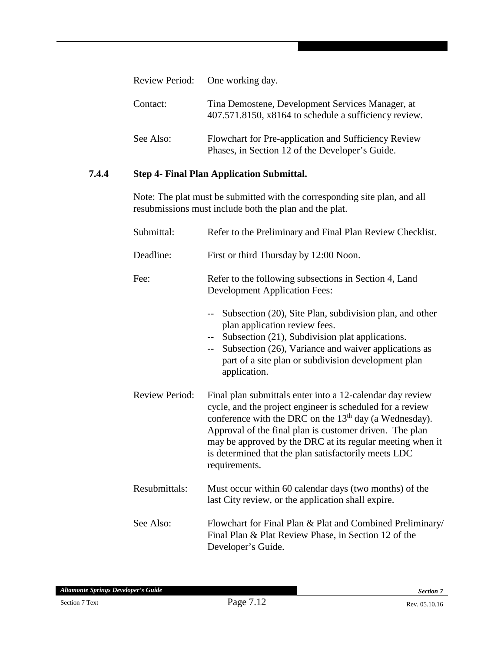|           | Review Period: One working day.                                                                           |
|-----------|-----------------------------------------------------------------------------------------------------------|
| Contact:  | Tina Demostene, Development Services Manager, at<br>407.571.8150, x8164 to schedule a sufficiency review. |
| See Also: | Flowchart for Pre-application and Sufficiency Review<br>Phases, in Section 12 of the Developer's Guide.   |

#### **7.4.4 Step 4- Final Plan Application Submittal.**

Note: The plat must be submitted with the corresponding site plan, and all resubmissions must include both the plan and the plat.

| Submittal:            | Refer to the Preliminary and Final Plan Review Checklist.                                                                                                                                                                                                                                                                                                                           |
|-----------------------|-------------------------------------------------------------------------------------------------------------------------------------------------------------------------------------------------------------------------------------------------------------------------------------------------------------------------------------------------------------------------------------|
| Deadline:             | First or third Thursday by 12:00 Noon.                                                                                                                                                                                                                                                                                                                                              |
| Fee:                  | Refer to the following subsections in Section 4, Land<br><b>Development Application Fees:</b><br>Subsection (20), Site Plan, subdivision plan, and other<br>plan application review fees.<br>Subsection (21), Subdivision plat applications.<br>Subsection (26), Variance and waiver applications as<br>$--$<br>part of a site plan or subdivision development plan<br>application. |
| <b>Review Period:</b> | Final plan submittals enter into a 12-calendar day review<br>cycle, and the project engineer is scheduled for a review<br>conference with the DRC on the $13th$ day (a Wednesday).<br>Approval of the final plan is customer driven. The plan<br>may be approved by the DRC at its regular meeting when it<br>is determined that the plan satisfactorily meets LDC<br>requirements. |
| Resubmittals:         | Must occur within 60 calendar days (two months) of the<br>last City review, or the application shall expire.                                                                                                                                                                                                                                                                        |
| See Also:             | Flowchart for Final Plan & Plat and Combined Preliminary/<br>Final Plan & Plat Review Phase, in Section 12 of the<br>Developer's Guide.                                                                                                                                                                                                                                             |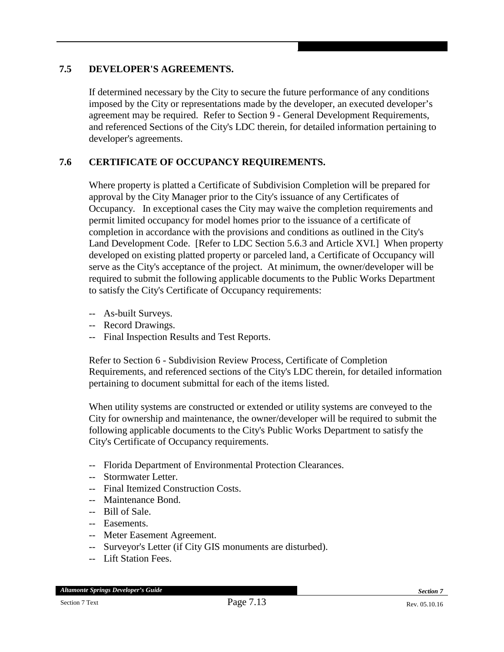#### **7.5 DEVELOPER'S AGREEMENTS.**

If determined necessary by the City to secure the future performance of any conditions imposed by the City or representations made by the developer, an executed developer's agreement may be required. Refer to Section 9 - General Development Requirements, and referenced Sections of the City's LDC therein, for detailed information pertaining to developer's agreements.

#### **7.6 CERTIFICATE OF OCCUPANCY REQUIREMENTS.**

Where property is platted a Certificate of Subdivision Completion will be prepared for approval by the City Manager prior to the City's issuance of any Certificates of Occupancy. In exceptional cases the City may waive the completion requirements and permit limited occupancy for model homes prior to the issuance of a certificate of completion in accordance with the provisions and conditions as outlined in the City's Land Development Code. [Refer to LDC Section 5.6.3 and Article XVI.] When property developed on existing platted property or parceled land, a Certificate of Occupancy will serve as the City's acceptance of the project. At minimum, the owner/developer will be required to submit the following applicable documents to the Public Works Department to satisfy the City's Certificate of Occupancy requirements:

- -- As-built Surveys.
- -- Record Drawings.
- -- Final Inspection Results and Test Reports.

Refer to Section 6 - Subdivision Review Process, Certificate of Completion Requirements, and referenced sections of the City's LDC therein, for detailed information pertaining to document submittal for each of the items listed.

When utility systems are constructed or extended or utility systems are conveyed to the City for ownership and maintenance, the owner/developer will be required to submit the following applicable documents to the City's Public Works Department to satisfy the City's Certificate of Occupancy requirements.

- -- Florida Department of Environmental Protection Clearances.
- -- Stormwater Letter.
- -- Final Itemized Construction Costs.
- -- Maintenance Bond.
- -- Bill of Sale.
- -- Easements.
- -- Meter Easement Agreement.
- -- Surveyor's Letter (if City GIS monuments are disturbed).
- -- Lift Station Fees.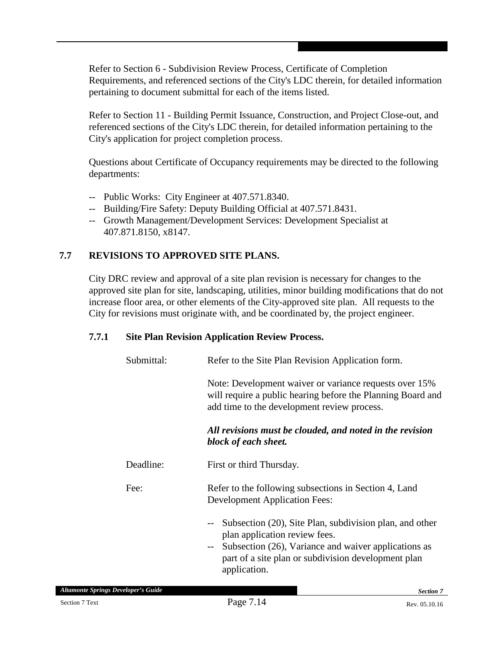Refer to Section 6 - Subdivision Review Process, Certificate of Completion Requirements, and referenced sections of the City's LDC therein, for detailed information pertaining to document submittal for each of the items listed.

Refer to Section 11 - Building Permit Issuance, Construction, and Project Close-out, and referenced sections of the City's LDC therein, for detailed information pertaining to the City's application for project completion process.

Questions about Certificate of Occupancy requirements may be directed to the following departments:

- -- Public Works: City Engineer at 407.571.8340.
- -- Building/Fire Safety: Deputy Building Official at 407.571.8431.
- -- Growth Management/Development Services: Development Specialist at 407.871.8150, x8147.

#### **7.7 REVISIONS TO APPROVED SITE PLANS.**

City DRC review and approval of a site plan revision is necessary for changes to the approved site plan for site, landscaping, utilities, minor building modifications that do not increase floor area, or other elements of the City-approved site plan. All requests to the City for revisions must originate with, and be coordinated by, the project engineer.

#### **7.7.1 Site Plan Revision Application Review Process.**

| Submittal: | Refer to the Site Plan Revision Application form.                                                                                                                                                                                        |  |  |  |
|------------|------------------------------------------------------------------------------------------------------------------------------------------------------------------------------------------------------------------------------------------|--|--|--|
|            | Note: Development waiver or variance requests over 15%<br>will require a public hearing before the Planning Board and<br>add time to the development review process.                                                                     |  |  |  |
|            | All revisions must be clouded, and noted in the revision<br>block of each sheet.                                                                                                                                                         |  |  |  |
| Deadline:  | First or third Thursday.                                                                                                                                                                                                                 |  |  |  |
| Fee:       | Refer to the following subsections in Section 4, Land<br><b>Development Application Fees:</b>                                                                                                                                            |  |  |  |
|            | Subsection (20), Site Plan, subdivision plan, and other<br>$- -$<br>plan application review fees.<br>Subsection (26), Variance and waiver applications as<br>$--$<br>part of a site plan or subdivision development plan<br>application. |  |  |  |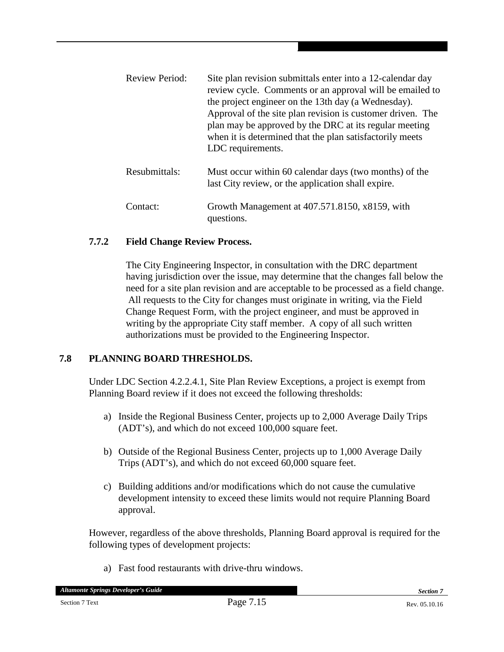Review Period: Site plan revision submittals enter into a 12-calendar day review cycle. Comments or an approval will be emailed to the project engineer on the 13th day (a Wednesday). Approval of the site plan revision is customer driven. The plan may be approved by the DRC at its regular meeting when it is determined that the plan satisfactorily meets LDC requirements. Resubmittals: Must occur within 60 calendar days (two months) of the last City review, or the application shall expire. Contact: Growth Management at 407.571.8150, x8159, with questions.

#### **7.7.2 Field Change Review Process.**

The City Engineering Inspector, in consultation with the DRC department having jurisdiction over the issue, may determine that the changes fall below the need for a site plan revision and are acceptable to be processed as a field change. All requests to the City for changes must originate in writing, via the Field Change Request Form, with the project engineer, and must be approved in writing by the appropriate City staff member. A copy of all such written authorizations must be provided to the Engineering Inspector.

#### **7.8 PLANNING BOARD THRESHOLDS.**

Under LDC Section 4.2.2.4.1, Site Plan Review Exceptions, a project is exempt from Planning Board review if it does not exceed the following thresholds:

- a) Inside the Regional Business Center, projects up to 2,000 Average Daily Trips (ADT's), and which do not exceed 100,000 square feet.
- b) Outside of the Regional Business Center, projects up to 1,000 Average Daily Trips (ADT's), and which do not exceed 60,000 square feet.
- c) Building additions and/or modifications which do not cause the cumulative development intensity to exceed these limits would not require Planning Board approval.

However, regardless of the above thresholds, Planning Board approval is required for the following types of development projects:

a) Fast food restaurants with drive-thru windows.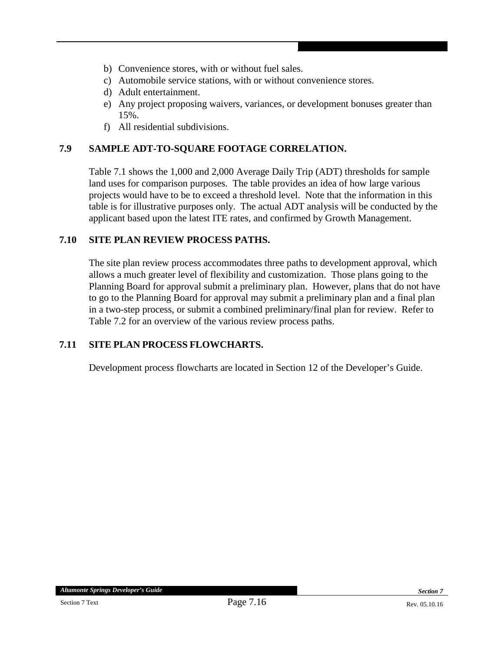- b) Convenience stores, with or without fuel sales.
- c) Automobile service stations, with or without convenience stores.
- d) Adult entertainment.
- e) Any project proposing waivers, variances, or development bonuses greater than 15%.
- f) All residential subdivisions.

#### **7.9 SAMPLE ADT-TO-SQUARE FOOTAGE CORRELATION.**

Table 7.1 shows the 1,000 and 2,000 Average Daily Trip (ADT) thresholds for sample land uses for comparison purposes. The table provides an idea of how large various projects would have to be to exceed a threshold level. Note that the information in this table is for illustrative purposes only. The actual ADT analysis will be conducted by the applicant based upon the latest ITE rates, and confirmed by Growth Management.

#### **7.10 SITE PLAN REVIEW PROCESS PATHS.**

The site plan review process accommodates three paths to development approval, which allows a much greater level of flexibility and customization. Those plans going to the Planning Board for approval submit a preliminary plan. However, plans that do not have to go to the Planning Board for approval may submit a preliminary plan and a final plan in a two-step process, or submit a combined preliminary/final plan for review. Refer to Table 7.2 for an overview of the various review process paths.

#### **7.11 SITE PLAN PROCESS FLOWCHARTS.**

Development process flowcharts are located in Section 12 of the Developer's Guide.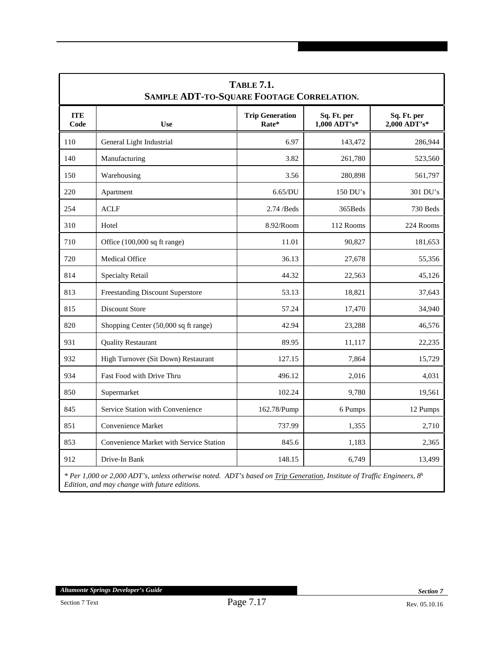| <b>TABLE 7.1.</b><br>SAMPLE ADT-TO-SQUARE FOOTAGE CORRELATION. |                                                                                                                           |                                 |                               |                             |  |
|----------------------------------------------------------------|---------------------------------------------------------------------------------------------------------------------------|---------------------------------|-------------------------------|-----------------------------|--|
| <b>ITE</b><br>Code                                             | <b>Use</b>                                                                                                                | <b>Trip Generation</b><br>Rate* | Sq. Ft. per<br>$1,000$ ADT's* | Sq. Ft. per<br>2,000 ADT's* |  |
| 110                                                            | General Light Industrial                                                                                                  | 6.97                            | 143,472                       | 286,944                     |  |
| 140                                                            | Manufacturing                                                                                                             | 3.82                            | 261,780                       | 523,560                     |  |
| 150                                                            | Warehousing                                                                                                               | 3.56                            | 280,898                       | 561,797                     |  |
| 220                                                            | Apartment                                                                                                                 | 6.65/DU                         | 150 DU's                      | 301 DU's                    |  |
| 254                                                            | <b>ACLF</b>                                                                                                               | $2.74$ /Beds                    | 365Beds                       | 730 Beds                    |  |
| 310                                                            | Hotel                                                                                                                     | 8.92/Room                       | 112 Rooms                     | 224 Rooms                   |  |
| 710                                                            | Office (100,000 sq ft range)                                                                                              | 11.01                           | 90,827                        | 181,653                     |  |
| 720                                                            | <b>Medical Office</b>                                                                                                     | 36.13                           | 27,678                        | 55,356                      |  |
| 814                                                            | <b>Specialty Retail</b>                                                                                                   | 44.32                           | 22,563                        | 45,126                      |  |
| 813                                                            | <b>Freestanding Discount Superstore</b>                                                                                   | 53.13                           | 18,821                        | 37,643                      |  |
| 815                                                            | <b>Discount Store</b>                                                                                                     | 57.24                           | 17,470                        | 34,940                      |  |
| 820                                                            | Shopping Center (50,000 sq ft range)                                                                                      | 42.94                           | 23,288                        | 46,576                      |  |
| 931                                                            | <b>Quality Restaurant</b>                                                                                                 | 89.95                           | 11,117                        | 22,235                      |  |
| 932                                                            | High Turnover (Sit Down) Restaurant                                                                                       | 127.15                          | 7,864                         | 15,729                      |  |
| 934                                                            | Fast Food with Drive Thru                                                                                                 | 496.12                          | 2,016                         | 4,031                       |  |
| 850                                                            | Supermarket                                                                                                               | 102.24                          | 9,780                         | 19,561                      |  |
| 845                                                            | Service Station with Convenience                                                                                          | 162.78/Pump                     | 6 Pumps                       | 12 Pumps                    |  |
| 851                                                            | Convenience Market                                                                                                        | 737.99                          | 1,355                         | 2,710                       |  |
| 853                                                            | Convenience Market with Service Station                                                                                   | 845.6                           | 1,183                         | 2,365                       |  |
| 912                                                            | Drive-In Bank                                                                                                             | 148.15                          | 6,749                         | 13,499                      |  |
|                                                                | * Per 1,000 or 2,000 ADT's, unless otherwise noted. ADT's based on Trip Generation, Institute of Traffic Engineers, $8^h$ |                                 |                               |                             |  |

*Edition, and may change with future editions.*